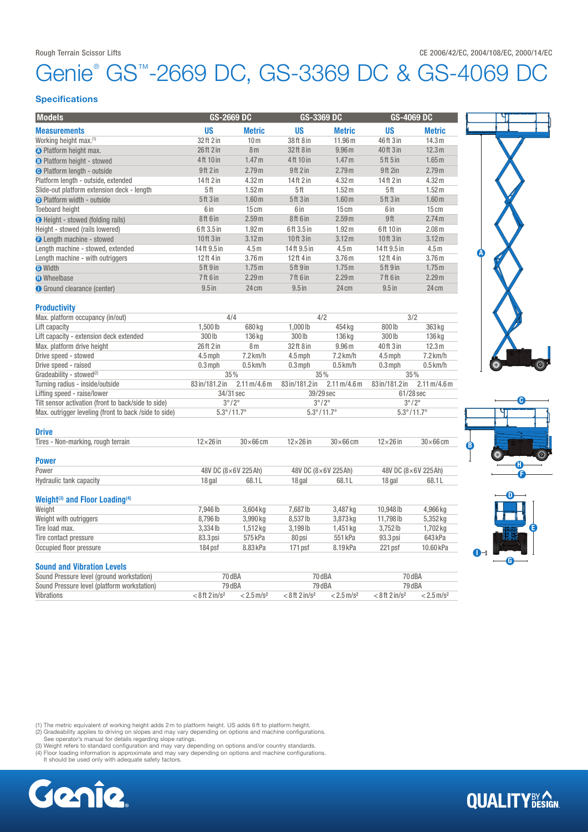# enie® GS™-2669 DC, GS-3369 DC & GS-4069

### **Specifications**

| <b>Models</b>                                          | GS-2669 DC                                      |                                      | GS-3369 DC                                          |                                      | <b>GS-4069 DC</b>                                   |                                      |
|--------------------------------------------------------|-------------------------------------------------|--------------------------------------|-----------------------------------------------------|--------------------------------------|-----------------------------------------------------|--------------------------------------|
| <b>Measurements</b>                                    | US                                              | <b>Metric</b>                        | <b>US</b>                                           | <b>Metric</b>                        | <b>US</b>                                           | <b>Metric</b>                        |
| Working height max. <sup>(1)</sup>                     | 32 ft 2 in                                      | 10 <sub>m</sub>                      | 38 ft 8 in                                          | 11.96 m                              | 46ft 3 in                                           | 14.3 m                               |
| <b>O</b> Platform height max.                          | 26ft 2 in                                       | 8 <sub>m</sub>                       | 32 ft 8 in                                          | 9.96 <sub>m</sub>                    | 40 ft 3 in                                          | 12.3 m                               |
| <b>B</b> Platform height - stowed                      | 4ft 10 in                                       | 1.47 <sub>m</sub>                    | 4ft 10 in                                           | 1.47 <sub>m</sub>                    | 5ft 5in                                             | 1.65 <sub>m</sub>                    |
| <b>O</b> Platform length - outside                     | 9ft2in                                          | 2.79 m                               | 9ft 2 in                                            | 2.79 <sub>m</sub>                    | 9ft 2in                                             | 2.79 <sub>m</sub>                    |
| Platform length - outside, extended                    | 14ft 2 in                                       | 4.32 m                               | 14ft 2 in                                           | 4.32 m                               | 14ft 2 in                                           | 4.32 m                               |
| Slide-out platform extension deck - length             | 5ft                                             | 1.52 <sub>m</sub>                    | 5ft                                                 | 1.52 <sub>m</sub>                    | 5ft                                                 | 1.52 <sub>m</sub>                    |
| <b>O</b> Platform width - outside                      | 5ft 3in                                         | 1.60 <sub>m</sub>                    | 5ft3in                                              | 1.60 <sub>m</sub>                    | 5ft3in                                              | 1.60 <sub>m</sub>                    |
| <b>Toeboard height</b>                                 | 6 in                                            | 15cm                                 | 6 in                                                | 15cm                                 | 6 in                                                | 15cm                                 |
| <b>B</b> Height - stowed (folding rails)               | 8ft 6in                                         | 2.59 <sub>m</sub>                    | 8ft 6in                                             | 2.59 <sub>m</sub>                    | 9ft                                                 | 2.74 <sub>m</sub>                    |
| Height - stowed (rails lowered)                        | 6ft 3.5 in                                      | 1.92 <sub>m</sub>                    | 6ft 3.5 in                                          | 1.92 <sub>m</sub>                    | 6ft 10 in                                           | 2.08 <sub>m</sub>                    |
| <b>O</b> Length machine - stowed                       | 10ft 3 in                                       | 3.12 <sub>m</sub>                    | 10ft 3 in                                           | 3.12 <sub>m</sub>                    | $10$ ft $3$ in                                      | 3.12 <sub>m</sub>                    |
| Length machine - stowed, extended                      | 14ft 9.5 in                                     | 4.5 <sub>m</sub>                     | 14ft 9.5 in                                         | 4.5 <sub>m</sub>                     | 14ft 9.5 in                                         | 4.5 <sub>m</sub>                     |
| Length machine - with outriggers                       | 12ft 4 in                                       | 3.76 m                               | 12ft 4 in                                           | 3.76 <sub>m</sub>                    | 12ft 4 in                                           | 3.76 <sub>m</sub>                    |
| <b>O</b> Width                                         | 5ft 9 in                                        | 1.75m                                | <b>5ft 9in</b>                                      | 1.75 <sub>m</sub>                    | <b>5ft 9in</b>                                      | 1.75 <sub>m</sub>                    |
| <b>O</b> Wheelbase                                     | 7ft 6 in                                        | 2.29 <sub>m</sub>                    | 7ft 6 in                                            | 2.29 <sub>m</sub>                    | <b>7ft 6 in</b>                                     | 2.29 <sub>m</sub>                    |
| <b>O</b> Ground clearance (center)                     | $9.5$ in                                        | 24 cm                                | $9.5$ in                                            | 24 cm                                | $9.5$ in                                            | 24 cm                                |
|                                                        |                                                 |                                      |                                                     |                                      |                                                     |                                      |
| <b>Productivity</b>                                    | 4/4                                             |                                      | 4/2                                                 |                                      | 3/2                                                 |                                      |
| Max. platform occupancy (in/out)                       |                                                 |                                      |                                                     |                                      |                                                     |                                      |
| Lift capacity                                          | 1,500 lb                                        | 680 kg                               | 1,000 lb                                            | 454 kg                               | 800lb                                               | 363 kg                               |
| Lift capacity - extension deck extended                | 300 lb                                          | 136 kg                               | 300lb                                               | 136 kg                               | 300lb                                               | 136 kg                               |
| Max. platform drive height                             | 26ft 2 in                                       | 8 <sub>m</sub>                       | 32 ft 8 in                                          | 9.96 <sub>m</sub>                    | 40 ft 3 in                                          | 12.3 <sub>m</sub>                    |
| Drive speed - stowed                                   | $4.5$ mph                                       | $7.2$ km/h                           | $4.5$ mph                                           | $7.2$ km/h                           | $4.5$ mph                                           | $7.2$ km/h                           |
| Drive speed - raised                                   | $0.3$ mph                                       | $0.5$ km/h                           | $0.3$ mph                                           | $0.5$ km/h                           | $0.3$ mph                                           | $0.5$ km/h                           |
| Gradeability - stowed <sup>(2)</sup>                   | 35%                                             |                                      | 35%                                                 |                                      | 35%                                                 |                                      |
| Turning radius - inside/outside                        | 83 in/181.2 in                                  | $2.11 \,\mathrm{m}/4.6 \,\mathrm{m}$ | 83 in/181.2 in                                      | $2.11 \,\mathrm{m}/4.6 \,\mathrm{m}$ | 83 in/181.2 in                                      | $2.11 \,\mathrm{m}/4.6 \,\mathrm{m}$ |
| Lifting speed - raise/lower                            | 34/31 sec                                       |                                      | 39/29 sec                                           |                                      | 61/28 sec                                           |                                      |
| Tilt sensor activation (front to back/side to side)    | $3^\circ/2^\circ$<br>$5.3^{\circ}/11.7^{\circ}$ |                                      | $3^{\circ}/2^{\circ}$<br>$5.3^{\circ}/11.7^{\circ}$ |                                      | $3^{\circ}/2^{\circ}$<br>$5.3^{\circ}/11.7^{\circ}$ |                                      |
| Max. outrigger leveling (front to back /side to side)  |                                                 |                                      |                                                     |                                      |                                                     |                                      |
| <b>Drive</b>                                           |                                                 |                                      |                                                     |                                      |                                                     |                                      |
| Tires - Non-marking, rough terrain                     | $12\times26$ in                                 | $30\times 66$ cm                     | $12\times26$ in                                     | $30\times 66$ cm                     | $12\times26$ in                                     | $30\times 66$ cm                     |
| <b>Power</b>                                           |                                                 |                                      |                                                     |                                      |                                                     |                                      |
| Power                                                  | 48V DC (8×6V 225Ah)                             |                                      | 48V DC (8×6V 225Ah)                                 |                                      | 48V DC (8×6V 225Ah)                                 |                                      |
| Hydraulic tank capacity                                | 18 gal                                          | 68.1L                                | 18 gal                                              | 68.1L                                | 18 gal                                              | 68.1L                                |
| Weight <sup>(3)</sup> and Floor Loading <sup>(4)</sup> |                                                 |                                      |                                                     |                                      |                                                     |                                      |
| Weight                                                 | 7,946 lb                                        | 3,604 kg                             | 7,687 lb                                            | 3,487 kg                             | 10,948 lb                                           | 4,966 kg                             |
| Weight with outriggers                                 | 8,796 lb                                        | 3,990 kg                             | 8,537 lb                                            | 3,873 kg                             | 11,798 lb                                           | 5,352 kg                             |
| Tire load max.                                         | 3,334 lb                                        | 1,512 kg                             | 3,199lb                                             | 1,451 kg                             | $3,752$ lb                                          | 1,702 kg                             |
| Tire contact pressure                                  | 83.3 psi                                        | 575 kPa                              | 80 psi                                              | 551 kPa                              | 93.3 psi                                            | 643 kPa                              |
| Occupied floor pressure                                | 184 psf                                         | 8.83 kPa                             | 171 psf                                             | 8.19 kPa                             | 221 psf                                             | 10.60 kPa                            |
| <b>Sound and Vibration Levels</b>                      |                                                 |                                      |                                                     |                                      |                                                     |                                      |

Sound Pressure level (ground workstation) 70 dBA 70 dBA 70 dBA 70 dBA 70 dBA Sound Pressure level (platform workstation) 79 dBA 79 dBA 79 dBA 79 dBA Vibrations  $< 8 \text{ ft } 2 \text{ in/s}^2$   $< 2.5 \text{ m/s}^2$   $< 8 \text{ ft } 2 \text{ in/s}^2$   $< 2.5 \text{ m/s}^2$   $< 8 \text{ ft } 2 \text{ in/s}^2$   $< 2.5 \text{ m/s}^2$ 







**QUALITY**BY AGN

(1) The metric equivalent of working height adds 2m to platform height. US adds 6ft to platform height.<br>(2) Gradeability applies to driving on slopes and may vary depending on options and machine configurations.<br>See operat

(4) Floor loading information is approximate and may vary depending on options and machine configurations. It should be used only with adequate safety factors.